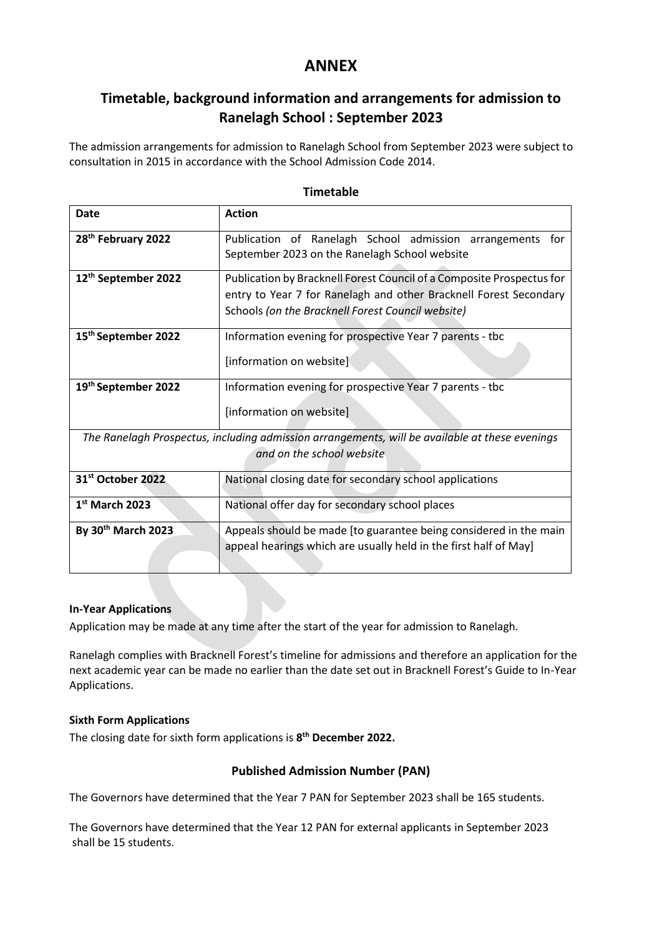## **ANNEX**

## **Timetable, background information and arrangements for admission to Ranelagh School : September 2023**

The admission arrangements for admission to Ranelagh School from September 2023 were subject to consultation in 2015 in accordance with the School Admission Code 2014.

| <b>Date</b>                     | <b>Action</b>                                                                                  |  |  |
|---------------------------------|------------------------------------------------------------------------------------------------|--|--|
| 28 <sup>th</sup> February 2022  | Publication of Ranelagh School admission arrangements for                                      |  |  |
|                                 | September 2023 on the Ranelagh School website                                                  |  |  |
|                                 |                                                                                                |  |  |
| 12 <sup>th</sup> September 2022 | Publication by Bracknell Forest Council of a Composite Prospectus for                          |  |  |
|                                 | entry to Year 7 for Ranelagh and other Bracknell Forest Secondary                              |  |  |
|                                 |                                                                                                |  |  |
|                                 | Schools (on the Bracknell Forest Council website)                                              |  |  |
| 15 <sup>th</sup> September 2022 | Information evening for prospective Year 7 parents - tbc                                       |  |  |
|                                 |                                                                                                |  |  |
|                                 | [information on website]                                                                       |  |  |
|                                 |                                                                                                |  |  |
| 19th September 2022             | Information evening for prospective Year 7 parents - tbc                                       |  |  |
|                                 |                                                                                                |  |  |
|                                 | [information on website]                                                                       |  |  |
|                                 |                                                                                                |  |  |
|                                 | The Ranelagh Prospectus, including admission arrangements, will be available at these evenings |  |  |
|                                 | and on the school website                                                                      |  |  |
| 31st October 2022               | National closing date for secondary school applications                                        |  |  |
|                                 |                                                                                                |  |  |
| $1st$ March 2023                | National offer day for secondary school places                                                 |  |  |
| By 30th March 2023              | Appeals should be made [to guarantee being considered in the main                              |  |  |
|                                 | appeal hearings which are usually held in the first half of May]                               |  |  |
|                                 |                                                                                                |  |  |
|                                 |                                                                                                |  |  |

## **Timetable**

### **In-Year Applications**

Application may be made at any time after the start of the year for admission to Ranelagh.

Ranelagh complies with Bracknell Forest's timeline for admissions and therefore an application for the next academic year can be made no earlier than the date set out in Bracknell Forest's Guide to In-Year Applications.

#### **Sixth Form Applications**

The closing date for sixth form applications is **8 th December 2022.**

### **Published Admission Number (PAN)**

The Governors have determined that the Year 7 PAN for September 2023 shall be 165 students.

The Governors have determined that the Year 12 PAN for external applicants in September 2023 shall be 15 students.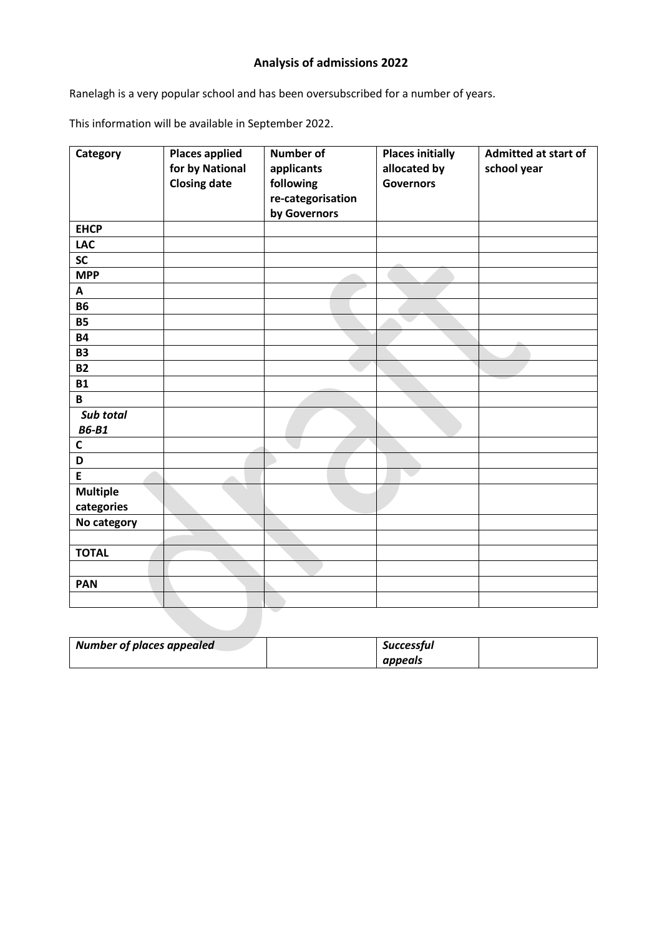# **Analysis of admissions 2022**

Ranelagh is a very popular school and has been oversubscribed for a number of years.

This information will be available in September 2022.

| Category        | <b>Places applied</b><br>for by National<br><b>Closing date</b> | <b>Number of</b><br>applicants<br>following<br>re-categorisation<br>by Governors | <b>Places initially</b><br>allocated by<br><b>Governors</b> | <b>Admitted at start of</b><br>school year |
|-----------------|-----------------------------------------------------------------|----------------------------------------------------------------------------------|-------------------------------------------------------------|--------------------------------------------|
| <b>EHCP</b>     |                                                                 |                                                                                  |                                                             |                                            |
| <b>LAC</b>      |                                                                 |                                                                                  |                                                             |                                            |
| SC              |                                                                 |                                                                                  |                                                             |                                            |
| <b>MPP</b>      |                                                                 |                                                                                  |                                                             |                                            |
| A               |                                                                 |                                                                                  |                                                             |                                            |
| <b>B6</b>       |                                                                 |                                                                                  |                                                             |                                            |
| <b>B5</b>       |                                                                 |                                                                                  |                                                             |                                            |
| <b>B4</b>       |                                                                 |                                                                                  |                                                             |                                            |
| <b>B3</b>       |                                                                 |                                                                                  |                                                             |                                            |
| <b>B2</b>       |                                                                 |                                                                                  |                                                             |                                            |
| <b>B1</b>       |                                                                 |                                                                                  |                                                             |                                            |
| B               |                                                                 |                                                                                  |                                                             |                                            |
| Sub total       |                                                                 |                                                                                  |                                                             |                                            |
| <b>B6-B1</b>    |                                                                 |                                                                                  |                                                             |                                            |
| $\mathsf{C}$    |                                                                 |                                                                                  |                                                             |                                            |
| D               |                                                                 |                                                                                  |                                                             |                                            |
| E               |                                                                 |                                                                                  |                                                             |                                            |
| <b>Multiple</b> |                                                                 |                                                                                  |                                                             |                                            |
| categories      |                                                                 |                                                                                  |                                                             |                                            |
| No category     |                                                                 |                                                                                  |                                                             |                                            |
|                 |                                                                 |                                                                                  |                                                             |                                            |
| <b>TOTAL</b>    |                                                                 |                                                                                  |                                                             |                                            |
|                 |                                                                 |                                                                                  |                                                             |                                            |
| <b>PAN</b>      |                                                                 |                                                                                  |                                                             |                                            |
|                 |                                                                 |                                                                                  |                                                             |                                            |

| <b>Number of places appealed</b> | Successful |  |
|----------------------------------|------------|--|
|                                  | appeals    |  |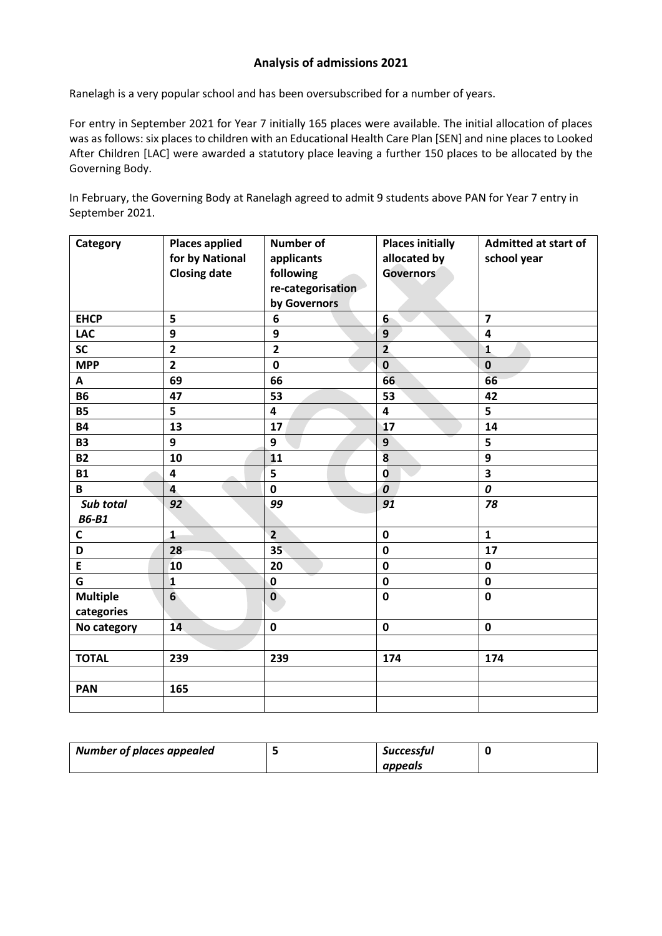### **Analysis of admissions 2021**

Ranelagh is a very popular school and has been oversubscribed for a number of years.

For entry in September 2021 for Year 7 initially 165 places were available. The initial allocation of places was as follows: six places to children with an Educational Health Care Plan [SEN] and nine places to Looked After Children [LAC] were awarded a statutory place leaving a further 150 places to be allocated by the Governing Body.

In February, the Governing Body at Ranelagh agreed to admit 9 students above PAN for Year 7 entry in September 2021.

| Category                      | <b>Places applied</b><br>for by National<br><b>Closing date</b> | <b>Number of</b><br>applicants<br>following<br>re-categorisation<br>by Governors | <b>Places initially</b><br>allocated by<br><b>Governors</b> | <b>Admitted at start of</b><br>school year |
|-------------------------------|-----------------------------------------------------------------|----------------------------------------------------------------------------------|-------------------------------------------------------------|--------------------------------------------|
| <b>EHCP</b>                   | 5                                                               | 6                                                                                | 6 <sup>1</sup>                                              | $\overline{\mathbf{z}}$                    |
| <b>LAC</b>                    | 9                                                               | 9                                                                                | 9                                                           | 4                                          |
| <b>SC</b>                     | $\overline{2}$                                                  | $\overline{2}$                                                                   | $\overline{2}$                                              | $\mathbf{1}$                               |
| <b>MPP</b>                    | $\overline{2}$                                                  | $\mathbf 0$                                                                      | $\mathbf 0$                                                 | $\mathbf 0$                                |
| A                             | 69                                                              | 66                                                                               | 66                                                          | 66                                         |
| <b>B6</b>                     | 47                                                              | 53                                                                               | 53                                                          | 42                                         |
| <b>B5</b>                     | 5                                                               | $\overline{\mathbf{4}}$                                                          | 4                                                           | 5                                          |
| <b>B4</b>                     | 13                                                              | 17                                                                               | 17                                                          | 14                                         |
| <b>B3</b>                     | 9                                                               | 9                                                                                | 9                                                           | 5                                          |
| <b>B2</b>                     | 10                                                              | 11                                                                               | 8                                                           | 9                                          |
| <b>B1</b>                     | $\overline{\mathbf{4}}$                                         | 5                                                                                | $\mathbf 0$                                                 | $\overline{\mathbf{3}}$                    |
| B                             | $\overline{\mathbf{4}}$                                         | $\mathbf 0$                                                                      | $\boldsymbol{o}$                                            | 0                                          |
| Sub total<br><b>B6-B1</b>     | 92                                                              | 99                                                                               | 91                                                          | 78                                         |
| C                             | $\mathbf{1}$                                                    | $\overline{2}$                                                                   | $\mathbf 0$                                                 | $\mathbf{1}$                               |
| D                             | 28                                                              | 35                                                                               | $\mathbf 0$                                                 | 17                                         |
| E                             | 10                                                              | 20                                                                               | $\mathbf 0$                                                 | $\mathbf 0$                                |
| G                             | $\mathbf{1}$                                                    | $\mathbf 0$                                                                      | $\mathbf 0$                                                 | $\mathbf 0$                                |
| <b>Multiple</b><br>categories | $6\phantom{1}$                                                  | $\mathbf 0$                                                                      | $\mathbf 0$                                                 | $\mathbf 0$                                |
| No category                   | 14                                                              | $\mathbf 0$                                                                      | $\pmb{0}$                                                   | $\mathbf 0$                                |
|                               |                                                                 |                                                                                  |                                                             |                                            |
| <b>TOTAL</b>                  | 239                                                             | 239                                                                              | 174                                                         | 174                                        |
|                               |                                                                 |                                                                                  |                                                             |                                            |
| <b>PAN</b>                    | 165                                                             |                                                                                  |                                                             |                                            |
|                               |                                                                 |                                                                                  |                                                             |                                            |

| <b>Number of places appealed</b> | <b>Successful</b> |  |
|----------------------------------|-------------------|--|
|                                  | appeals           |  |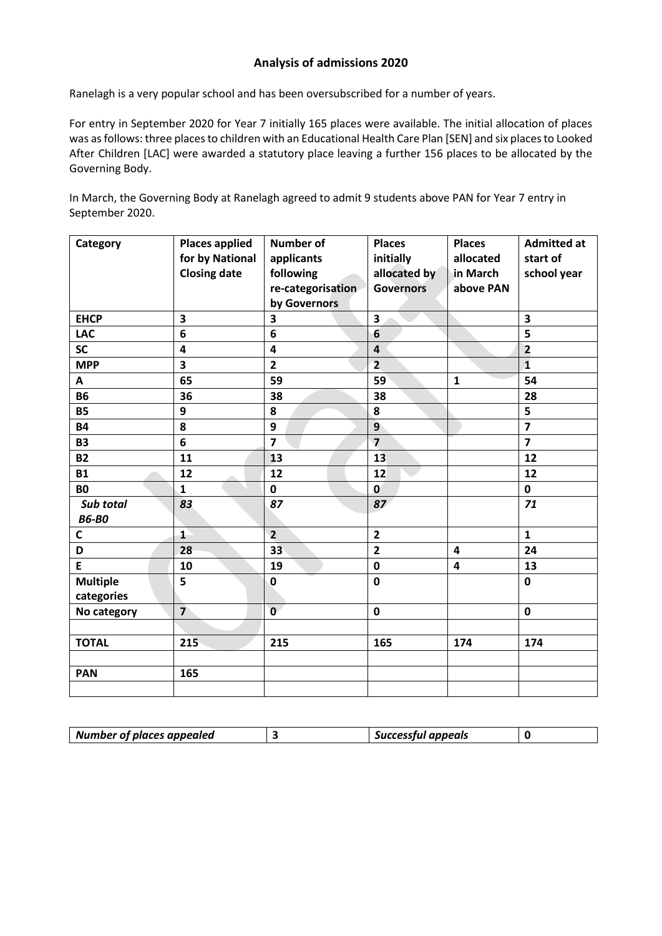### **Analysis of admissions 2020**

Ranelagh is a very popular school and has been oversubscribed for a number of years.

For entry in September 2020 for Year 7 initially 165 places were available. The initial allocation of places was as follows: three places to children with an Educational Health Care Plan [SEN] and six places to Looked After Children [LAC] were awarded a statutory place leaving a further 156 places to be allocated by the Governing Body.

In March, the Governing Body at Ranelagh agreed to admit 9 students above PAN for Year 7 entry in September 2020.

| Category        | <b>Places applied</b>   | Number of               | <b>Places</b>    | <b>Places</b>           | <b>Admitted at</b>      |
|-----------------|-------------------------|-------------------------|------------------|-------------------------|-------------------------|
|                 | for by National         | applicants              | initially        | allocated               | start of                |
|                 | <b>Closing date</b>     | following               | allocated by     | in March                | school year             |
|                 |                         | re-categorisation       | <b>Governors</b> | above PAN               |                         |
|                 |                         | by Governors            |                  |                         |                         |
| <b>EHCP</b>     | $\overline{\mathbf{3}}$ | 3                       | 3                |                         | $\overline{\mathbf{3}}$ |
| <b>LAC</b>      | 6                       | 6                       | 6                |                         | 5                       |
| <b>SC</b>       | 4                       | 4                       | 4                |                         | $\overline{2}$          |
| <b>MPP</b>      | 3                       | $\overline{\mathbf{2}}$ | $\overline{2}$   |                         | $\mathbf{1}$            |
| A               | 65                      | 59                      | 59               | $\mathbf{1}$            | 54                      |
| <b>B6</b>       | 36                      | 38                      | 38               |                         | 28                      |
| <b>B5</b>       | 9                       | 8                       | 8                |                         | 5                       |
| <b>B4</b>       | 8                       | 9                       | $\overline{9}$   |                         | $\overline{7}$          |
| <b>B3</b>       | 6                       | $\overline{7}$          | $\overline{7}$   |                         | $\overline{7}$          |
| <b>B2</b>       | 11                      | 13                      | 13               |                         | 12                      |
| <b>B1</b>       | 12                      | 12                      | 12               |                         | 12                      |
| <b>B0</b>       | $\mathbf{1}$            | $\mathbf 0$             | $\mathbf 0$      |                         | $\mathbf 0$             |
| Sub total       | 83                      | 87                      | 87               |                         | 71                      |
| <b>B6-B0</b>    |                         |                         |                  |                         |                         |
| C               | $\mathbf{1}$            | $\overline{2}$          | $\overline{2}$   |                         | $\mathbf{1}$            |
| D               | 28                      | 33                      | $\overline{2}$   | 4                       | 24                      |
| E               | 10                      | 19                      | $\mathbf 0$      | $\overline{\mathbf{4}}$ | 13                      |
| <b>Multiple</b> | 5                       | $\mathbf 0$             | $\mathbf 0$      |                         | $\mathbf 0$             |
| categories      |                         |                         |                  |                         |                         |
| No category     | $\overline{7}$          | $\mathbf{0}$            | $\mathbf 0$      |                         | $\mathbf 0$             |
|                 |                         |                         |                  |                         |                         |
| <b>TOTAL</b>    | 215                     | 215                     | 165              | 174                     | 174                     |
|                 |                         |                         |                  |                         |                         |
| <b>PAN</b>      | 165                     |                         |                  |                         |                         |
|                 |                         |                         |                  |                         |                         |

| Number of places appealed | Successful appeals |  |
|---------------------------|--------------------|--|
|                           |                    |  |